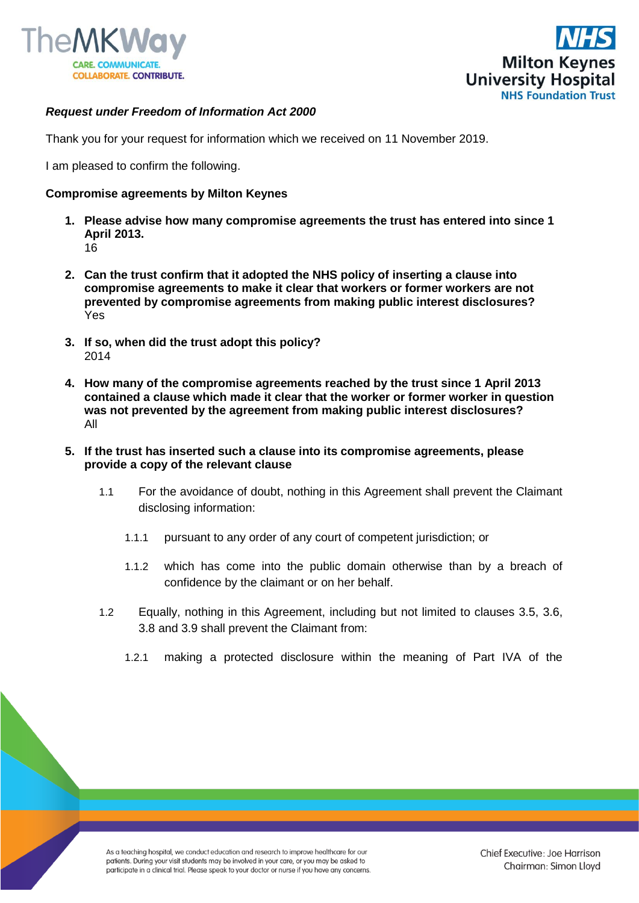



## *Request under Freedom of Information Act 2000*

Thank you for your request for information which we received on 11 November 2019.

I am pleased to confirm the following.

## **Compromise agreements by Milton Keynes**

- **1. Please advise how many compromise agreements the trust has entered into since 1 April 2013.**  16
- **2. Can the trust confirm that it adopted the NHS policy of inserting a clause into compromise agreements to make it clear that workers or former workers are not prevented by compromise agreements from making public interest disclosures?**  Yes
- **3. If so, when did the trust adopt this policy?**  2014
- **4. How many of the compromise agreements reached by the trust since 1 April 2013 contained a clause which made it clear that the worker or former worker in question was not prevented by the agreement from making public interest disclosures?**  All
- **5. If the trust has inserted such a clause into its compromise agreements, please provide a copy of the relevant clause**
	- 1.1 For the avoidance of doubt, nothing in this Agreement shall prevent the Claimant disclosing information:
		- 1.1.1 pursuant to any order of any court of competent jurisdiction; or
		- 1.1.2 which has come into the public domain otherwise than by a breach of confidence by the claimant or on her behalf.
	- 1.2 Equally, nothing in this Agreement, including but not limited to clauses 3.5, 3.6, 3.8 and 3.9 shall prevent the Claimant from:
		- 1.2.1 making a protected disclosure within the meaning of Part IVA of the

As a teaching hospital, we conduct education and research to improve healthcare for our patients. During your visit students may be involved in your care, or you may be asked to participate in a clinical trial. Please speak to your doctor or nurse if you have any concerns.